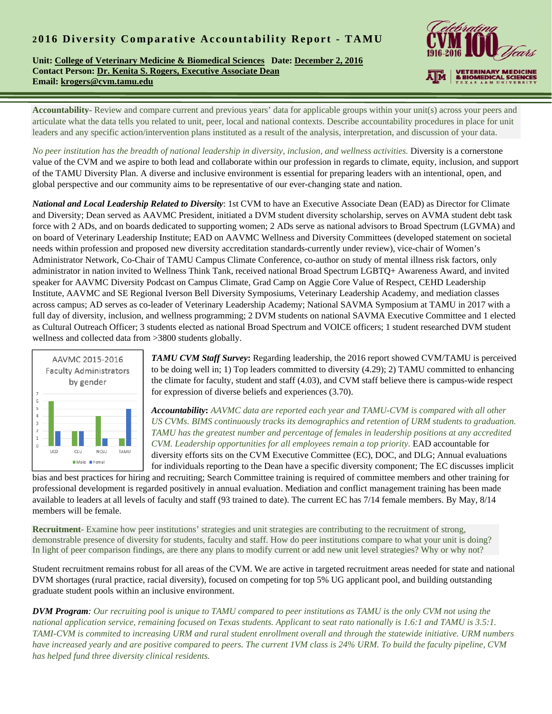## **2 016 Diversity Comparative Accountability Report - TAMU**

**Unit: College of Veterinary Medicine & Biomedical Sciences Date: December 2, 2016 Contact Person: Dr. Kenita S. Rogers, Executive Associate Dean Email: krogers@cvm.tamu.edu** 



**Accountability-** Review and compare current and previous years' data for applicable groups within your unit(s) across your peers and articulate what the data tells you related to unit, peer, local and national contexts. Describe accountability procedures in place for unit leaders and any specific action/intervention plans instituted as a result of the analysis, interpretation, and discussion of your data.

*No peer institution has the breadth of national leadership in diversity, inclusion, and wellness activities.* Diversity is a cornerstone value of the CVM and we aspire to both lead and collaborate within our profession in regards to climate, equity, inclusion, and support of the TAMU Diversity Plan. A diverse and inclusive environment is essential for preparing leaders with an intentional, open, and global perspective and our community aims to be representative of our ever-changing state and nation.

*National and Local Leadership Related to Diversity*: 1st CVM to have an Executive Associate Dean (EAD) as Director for Climate and Diversity; Dean served as AAVMC President, initiated a DVM student diversity scholarship, serves on AVMA student debt task force with 2 ADs, and on boards dedicated to supporting women; 2 ADs serve as national advisors to Broad Spectrum (LGVMA) and on board of Veterinary Leadership Institute; EAD on AAVMC Wellness and Diversity Committees (developed statement on societal needs within profession and proposed new diversity accreditation standards-currently under review), vice-chair of Women's Administrator Network, Co-Chair of TAMU Campus Climate Conference, co-author on study of mental illness risk factors, only administrator in nation invited to Wellness Think Tank, received national Broad Spectrum LGBTQ+ Awareness Award, and invited speaker for AAVMC Diversity Podcast on Campus Climate, Grad Camp on Aggie Core Value of Respect, CEHD Leadership Institute, AAVMC and SE Regional Iverson Bell Diversity Symposiums, Veterinary Leadership Academy, and mediation classes across campus; AD serves as co-leader of Veterinary Leadership Academy; National SAVMA Symposium at TAMU in 2017 with a full day of diversity, inclusion, and wellness programming; 2 DVM students on national SAVMA Executive Committee and 1 elected as Cultural Outreach Officer; 3 students elected as national Broad Spectrum and VOICE officers; 1 student researched DVM student wellness and collected data from >3800 students globally.



*TAMU CVM Staff Survey***:** Regarding leadership, the 2016 report showed CVM/TAMU is perceived to be doing well in; 1) Top leaders committed to diversity (4.29); 2) TAMU committed to enhancing the climate for faculty, student and staff (4.03), and CVM staff believe there is campus-wide respect for expression of diverse beliefs and experiences (3.70).

*Accountability***:** *AAVMC data are reported each year and TAMU-CVM is compared with all other US CVMs. BIMS continuously tracks its demographics and retention of URM students to graduation. TAMU has the greatest number and percentage of females in leadership positions at any accredited CVM. Leadership opportunities for all employees remain a top priority.* EAD accountable for diversity efforts sits on the CVM Executive Committee (EC), DOC, and DLG; Annual evaluations for individuals reporting to the Dean have a specific diversity component; The EC discusses implicit

bias and best practices for hiring and recruiting; Search Committee training is required of committee members and other training for professional development is regarded positively in annual evaluation. Mediation and conflict management training has been made available to leaders at all levels of faculty and staff (93 trained to date). The current EC has 7/14 female members. By May, 8/14 members will be female.

**Recruitment**- Examine how peer institutions' strategies and unit strategies are contributing to the recruitment of strong, demonstrable presence of diversity for students, faculty and staff. How do peer institutions compare to what your unit is doing? In light of peer comparison findings, are there any plans to modify current or add new unit level strategies? Why or why not?

Student recruitment remains robust for all areas of the CVM. We are active in targeted recruitment areas needed for state and national DVM shortages (rural practice, racial diversity), focused on competing for top 5% UG applicant pool, and building outstanding graduate student pools within an inclusive environment.

*DVM Program: Our recruiting pool is unique to TAMU compared to peer institutions as TAMU is the only CVM not using the national application service, remaining focused on Texas students. Applicant to seat rato nationally is 1.6:1 and TAMU is 3.5:1. TAMI-CVM is commited to increasing URM and rural student enrollment overall and through the statewide initiative. URM numbers have increased yearly and are positive compared to peers. The current 1VM class is 24% URM. To build the faculty pipeline, CVM has helped fund three diversity clinical residents.*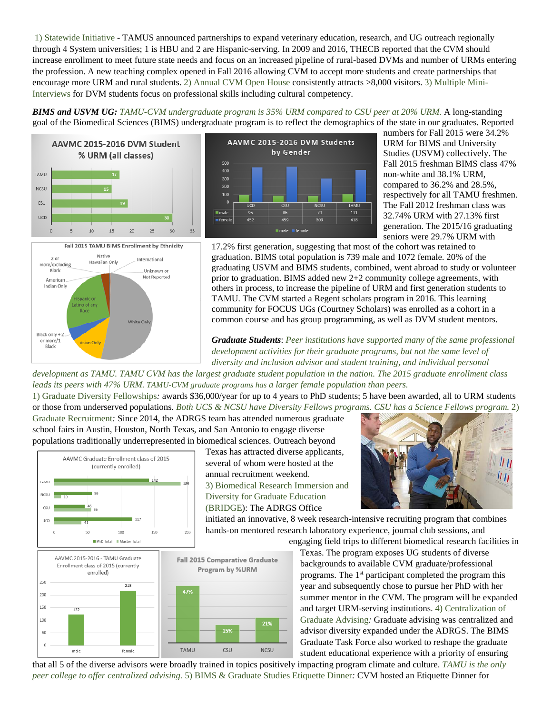1) Statewide Initiative - TAMUS announced partnerships to expand veterinary education, research, and UG outreach regionally through 4 System universities; 1 is HBU and 2 are Hispanic-serving. In 2009 and 2016, THECB reported that the CVM should increase enrollment to meet future state needs and focus on an increased pipeline of rural-based DVMs and number of URMs entering the profession. A new teaching complex opened in Fall 2016 allowing CVM to accept more students and create partnerships that encourage more URM and rural students. 2) Annual CVM Open House consistently attracts >8,000 visitors. 3) Multiple Mini-Interviews for DVM students focus on professional skills including cultural competency.

*BIMS and USVM UG: TAMU-CVM undergraduate program is 35% URM compared to CSU peer at 20% URM.* A long-standing goal of the Biomedical Sciences (BIMS) undergraduate program is to reflect the demographics of the state in our graduates. Reported







numbers for Fall 2015 were 34.2% URM for BIMS and University Studies (USVM) collectively. The Fall 2015 freshman BIMS class 47% non-white and 38.1% URM, compared to 36.2% and 28.5%, respectively for all TAMU freshmen. The Fall 2012 freshman class was 32.74% URM with 27.13% first generation. The 2015/16 graduating seniors were 29.7% URM with

17.2% first generation, suggesting that most of the cohort was retained to graduation. BIMS total population is 739 male and 1072 female. 20% of the graduating USVM and BIMS students, combined, went abroad to study or volunteer prior to graduation. BIMS added new 2+2 community college agreements, with others in process, to increase the pipeline of URM and first generation students to TAMU. The CVM started a Regent scholars program in 2016. This learning community for FOCUS UGs (Courtney Scholars) was enrolled as a cohort in a common course and has group programming, as well as DVM student mentors.

*Graduate Students*: *Peer institutions have supported many of the same professional development activities for their graduate programs, but not the same level of diversity and inclusion advisor and student training, and individual personal* 

*development as TAMU. TAMU CVM has the largest graduate student population in the nation. The 2015 graduate enrollment class leads its peers with 47% URM. TAMU-CVM graduate programs has a larger female population than peers.*

1) Graduate Diversity Fellowships*:* awards \$36,000/year for up to 4 years to PhD students; 5 have been awarded, all to URM students or those from underserved populations. *Both UCS & NCSU have Diversity Fellows programs. CSU has a Science Fellows program.* 2)

Graduate Recruitment*:* Since 2014, the ADRGS team has attended numerous graduate school fairs in Austin, Houston, North Texas, and San Antonio to engage diverse populations traditionally underrepresented in biomedical sciences. Outreach beyond



Texas has attracted diverse applicants, several of whom were hosted at the annual recruitment weekend*.*  3) Biomedical Research Immersion and Diversity for Graduate Education (BRIDGE): The ADRGS Office



initiated an innovative, 8 week research-intensive recruiting program that combines hands-on mentored research laboratory experience, journal club sessions, and engaging field trips to different biomedical research facilities in



Texas. The program exposes UG students of diverse backgrounds to available CVM graduate/professional programs. The 1<sup>st</sup> participant completed the program this year and subsequently chose to pursue her PhD with her summer mentor in the CVM. The program will be expanded and target URM-serving institutions. 4) Centralization of Graduate Advising*:* Graduate advising was centralized and advisor diversity expanded under the ADRGS. The BIMS Graduate Task Force also worked to reshape the graduate student educational experience with a priority of ensuring

that all 5 of the diverse advisors were broadly trained in topics positively impacting program climate and culture. *TAMU is the only peer college to offer centralized advising.* 5) BIMS & Graduate Studies Etiquette Dinner*:* CVM hosted an Etiquette Dinner for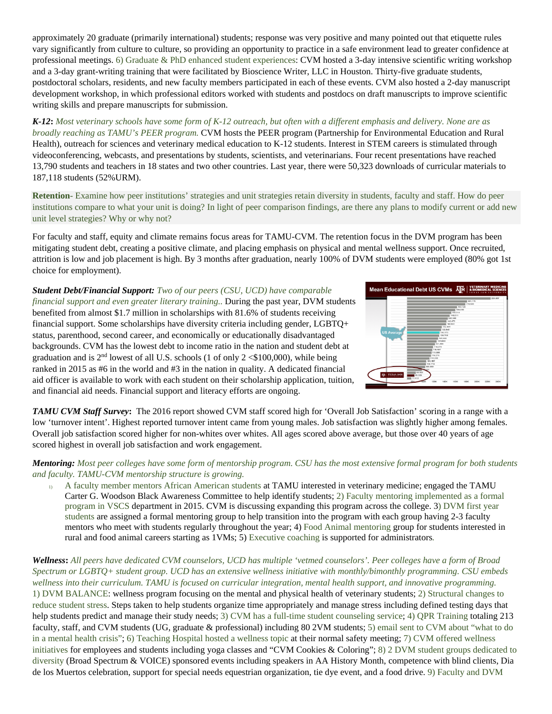approximately 20 graduate (primarily international) students; response was very positive and many pointed out that etiquette rules vary significantly from culture to culture, so providing an opportunity to practice in a safe environment lead to greater confidence at professional meetings. 6) Graduate & PhD enhanced student experiences: CVM hosted a 3-day intensive scientific writing workshop and a 3-day grant-writing training that were facilitated by Bioscience Writer, LLC in Houston. Thirty-five graduate students, postdoctoral scholars, residents, and new faculty members participated in each of these events. CVM also hosted a 2-day manuscript development workshop, in which professional editors worked with students and postdocs on draft manuscripts to improve scientific writing skills and prepare manuscripts for submission.

*K-12***:** *Most veterinary schools have some form of K-12 outreach, but often with a different emphasis and delivery. None are as broadly reaching as TAMU's PEER program.* CVM hosts the PEER program (Partnership for Environmental Education and Rural Health), outreach for sciences and veterinary medical education to K-12 students. Interest in STEM careers is stimulated through videoconferencing, webcasts, and presentations by students, scientists, and veterinarians. Four recent presentations have reached 13,790 students and teachers in 18 states and two other countries. Last year, there were 50,323 downloads of curricular materials to 187,118 students (52%URM).

**Retention**- Examine how peer institutions' strategies and unit strategies retain diversity in students, faculty and staff. How do peer institutions compare to what your unit is doing? In light of peer comparison findings, are there any plans to modify current or add new unit level strategies? Why or why not?

For faculty and staff, equity and climate remains focus areas for TAMU-CVM. The retention focus in the DVM program has been mitigating student debt, creating a positive climate, and placing emphasis on physical and mental wellness support. Once recruited, attrition is low and job placement is high. By 3 months after graduation, nearly 100% of DVM students were employed (80% got 1st choice for employment).

*Student Debt/Financial Support: Two of our peers (CSU, UCD) have comparable financial support and even greater literary training.. During the past year, DVM students* benefited from almost \$1.7 million in scholarships with 81.6% of students receiving financial support. Some scholarships have diversity criteria including gender, LGBTQ+ status, parenthood, second career, and economically or educationally disadvantaged backgrounds. CVM has the lowest debt to income ratio in the nation and student debt at graduation and is  $2<sup>nd</sup>$  lowest of all U.S. schools (1 of only  $2 < $100,000$ ), while being ranked in 2015 as #6 in the world and #3 in the nation in quality. A dedicated financial aid officer is available to work with each student on their scholarship application, tuition, and financial aid needs. Financial support and literacy efforts are ongoing.



*TAMU CVM Staff Survey***:** The 2016 report showed CVM staff scored high for 'Overall Job Satisfaction' scoring in a range with a low 'turnover intent'. Highest reported turnover intent came from young males. Job satisfaction was slightly higher among females. Overall job satisfaction scored higher for non-whites over whites. All ages scored above average, but those over 40 years of age scored highest in overall job satisfaction and work engagement.

## *Mentoring: Most peer colleges have some form of mentorship program. CSU has the most extensive formal program for both students and faculty. TAMU-CVM mentorship structure is growing.*

1) A faculty member mentors African American students at TAMU interested in veterinary medicine; engaged the TAMU Carter G. Woodson Black Awareness Committee to help identify students; 2) Faculty mentoring implemented as a formal program in VSCS department in 2015. CVM is discussing expanding this program across the college. 3) DVM first year students are assigned a formal mentoring group to help transition into the program with each group having 2-3 faculty mentors who meet with students regularly throughout the year; 4) Food Animal mentoring group for students interested in rural and food animal careers starting as 1VMs; 5) Executive coaching is supported for administrators*.* 

*Wellness***:** *All peers have dedicated CVM counselors, UCD has multiple 'vetmed counselors'. Peer colleges have a form of Broad Spectrum or LGBTQ+ student group. UCD has an extensive wellness initiative with monthly/bimonthly programming. CSU embeds wellness into their curriculum. TAMU is focused on curricular integration, mental health support, and innovative programming.*  1) DVM BALANCE: wellness program focusing on the mental and physical health of veterinary students; 2) Structural changes to reduce student stress. Steps taken to help students organize time appropriately and manage stress including defined testing days that help students predict and manage their study needs; 3) CVM has a full-time student counseling service; 4) OPR Training totaling 213 faculty, staff, and CVM students (UG, graduate & professional) including 80 2VM students; 5) email sent to CVM about "what to do in a mental health crisis"; 6) Teaching Hospital hosted a wellness topic at their normal safety meeting; 7) CVM offered wellness initiatives for employees and students including yoga classes and "CVM Cookies & Coloring"; 8) 2 DVM student groups dedicated to diversity (Broad Spectrum & VOICE) sponsored events including speakers in AA History Month, competence with blind clients, Dia de los Muertos celebration, support for special needs equestrian organization, tie dye event, and a food drive. 9) Faculty and DVM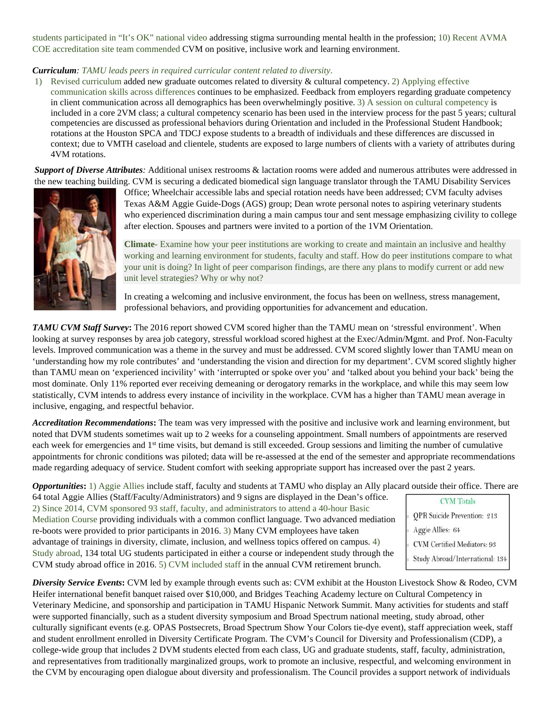students participated in "It's OK" national video addressing stigma surrounding mental health in the profession; 10) Recent AVMA COE accreditation site team commended CVM on positive, inclusive work and learning environment.

## *Curriculum: TAMU leads peers in required curricular content related to diversity*.

1) Revised curriculum added new graduate outcomes related to diversity & cultural competency. 2) Applying effective communication skills across differences continues to be emphasized. Feedback from employers regarding graduate competency in client communication across all demographics has been overwhelmingly positive. 3) A session on cultural competency is included in a core 2VM class; a cultural competency scenario has been used in the interview process for the past 5 years; cultural competencies are discussed as professional behaviors during Orientation and included in the Professional Student Handbook; rotations at the Houston SPCA and TDCJ expose students to a breadth of individuals and these differences are discussed in context; due to VMTH caseload and clientele, students are exposed to large numbers of clients with a variety of attributes during 4VM rotations.

*Support of Diverse Attributes:* Additional unisex restrooms & lactation rooms were added and numerous attributes were addressed in the new teaching building. CVM is securing a dedicated biomedical sign language translator through the TAMU Disability Services



Office; Wheelchair accessible labs and special rotation needs have been addressed; CVM faculty advises Texas A&M Aggie Guide-Dogs (AGS) group; Dean wrote personal notes to aspiring veterinary students who experienced discrimination during a main campus tour and sent message emphasizing civility to college after election. Spouses and partners were invited to a portion of the 1VM Orientation.

**Climate**- Examine how your peer institutions are working to create and maintain an inclusive and healthy working and learning environment for students, faculty and staff. How do peer institutions compare to what your unit is doing? In light of peer comparison findings, are there any plans to modify current or add new unit level strategies? Why or why not?

In creating a welcoming and inclusive environment, the focus has been on wellness, stress management, professional behaviors, and providing opportunities for advancement and education.

*TAMU CVM Staff Survey***:** The 2016 report showed CVM scored higher than the TAMU mean on 'stressful environment'. When looking at survey responses by area job category, stressful workload scored highest at the Exec/Admin/Mgmt. and Prof. Non-Faculty levels. Improved communication was a theme in the survey and must be addressed. CVM scored slightly lower than TAMU mean on 'understanding how my role contributes' and 'understanding the vision and direction for my department'. CVM scored slightly higher than TAMU mean on 'experienced incivility' with 'interrupted or spoke over you' and 'talked about you behind your back' being the most dominate. Only 11% reported ever receiving demeaning or derogatory remarks in the workplace, and while this may seem low statistically, CVM intends to address every instance of incivility in the workplace. CVM has a higher than TAMU mean average in inclusive, engaging, and respectful behavior.

*Accreditation Recommendations***:** The team was very impressed with the positive and inclusive work and learning environment, but noted that DVM students sometimes wait up to 2 weeks for a counseling appointment. Small numbers of appointments are reserved each week for emergencies and 1<sup>st</sup> time visits, but demand is still exceeded. Group sessions and limiting the number of cumulative appointments for chronic conditions was piloted; data will be re-assessed at the end of the semester and appropriate recommendations made regarding adequacy of service. Student comfort with seeking appropriate support has increased over the past 2 years.

*Opportunities*: 1) Aggie Allies include staff, faculty and students at TAMU who display an Ally placard outside their office. There are

64 total Aggie Allies (Staff/Faculty/Administrators) and 9 signs are displayed in the Dean's office. 2) Since 2014, CVM sponsored 93 staff, faculty, and administrators to attend a 40-hour Basic Mediation Course providing individuals with a common conflict language. Two advanced mediation re-boots were provided to prior participants in 2016. 3) Many CVM employees have taken advantage of trainings in diversity, climate, inclusion, and wellness topics offered on campus. 4) Study abroad, 134 total UG students participated in either a course or independent study through the CVM study abroad office in 2016. 5) CVM included staff in the annual CVM retirement brunch.

**CVM** Totals **QPR** Suicide Prevention: 213 Aggie Allies: 64 CVM Certified Mediators: 93 Study Abroad/International: 134

*Diversity Service Events***:** CVM led by example through events such as: CVM exhibit at the Houston Livestock Show & Rodeo, CVM Heifer international benefit banquet raised over \$10,000, and Bridges Teaching Academy lecture on Cultural Competency in Veterinary Medicine, and sponsorship and participation in TAMU Hispanic Network Summit. Many activities for students and staff were supported financially, such as a student diversity symposium and Broad Spectrum national meeting, study abroad, other culturally significant events (e.g. OPAS Postsecrets, Broad Spectrum Show Your Colors tie-dye event), staff appreciation week, staff and student enrollment enrolled in Diversity Certificate Program. The CVM's Council for Diversity and Professionalism (CDP), a college-wide group that includes 2 DVM students elected from each class, UG and graduate students, staff, faculty, administration, and representatives from traditionally marginalized groups, work to promote an inclusive, respectful, and welcoming environment in the CVM by encouraging open dialogue about diversity and professionalism. The Council provides a support network of individuals